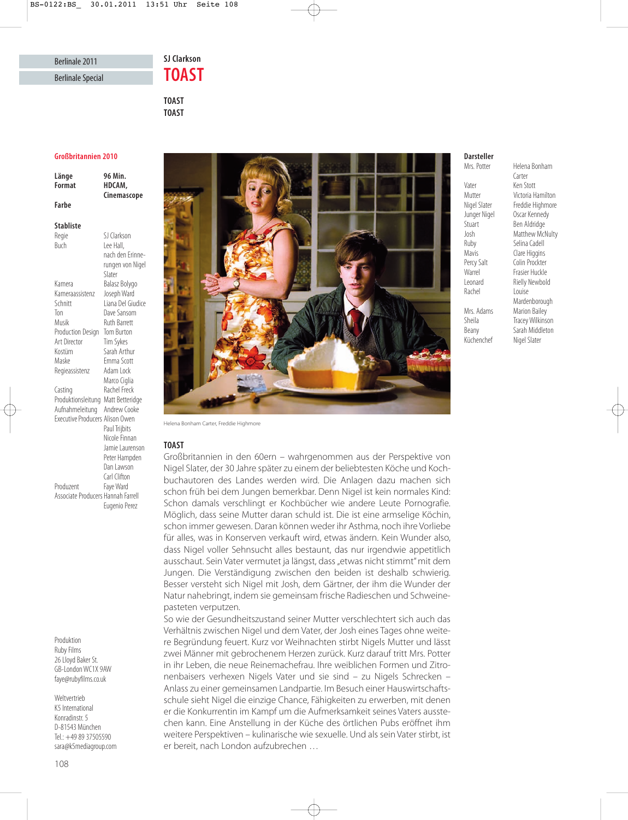# SI Clarkson **TOAST**

**TOAST TOAST**

### **Großbritannien 2010**

| Länge<br>Format                 | 96 Min.<br>HDCAM,<br>Cinemascope |
|---------------------------------|----------------------------------|
| Farbe                           |                                  |
| <b>Stabliste</b>                |                                  |
| Regie                           | SJ Clarkson                      |
| Buch                            | Lee Hall,                        |
|                                 | nach den Erinne-                 |
|                                 | rungen von Nigel                 |
|                                 | Slater                           |
| Kamera                          | Balasz Bolygo                    |
| Kameraassistenz                 | Joseph Ward                      |
| Schnitt                         | l iana Del Giudice               |
| Ton                             | Dave Sansom                      |
| Musik                           | <b>Ruth Barrett</b>              |
| Production Design               | <b>Tom Burton</b>                |
| Art Director                    | Tim Sykes                        |
| Kostüm                          | Sarah Arthur                     |
| Maske                           | Emma Scott                       |
| Regieassistenz                  | Adam Lock                        |
|                                 | Marco Ciglia                     |
| Casting                         | Rachel Freck                     |
| Produktionsleitung              | Matt Betteridge                  |
| Aufnahmeleitung                 | Andrew Cooke                     |
| Executive Producers Alison Owen |                                  |

Executive Producers Alison Owen Paul Trijbits Nicole Finnan Jamie Laurenson Peter Hampden Dan Lawson Carl Clifton Produzent Faye Ward Associate Producers Hannah Farrell Eugenio Perez

Produktion Ruby Films 26 Lloyd Baker St. GB-London WC1X 9AW faye@rubyfilms.co.uk

Weltvertrieb K5 International Konradinstr. 5 D-81543 München Tel.: +49 89 37505590 sara@k5mediagroup.com



Helena Bonham Carter, Freddie Highmore

### **TOAST**

**TOAST** Großbritannien in den 60ern – wahrgenommen aus der Perspektive von Nigel Slater, der 30 Jahre später zu einem der beliebtesten Köche und Koch buch autoren des Landes werden wird. Die Anlagen dazu machen sich schon früh bei dem Jungen bemerkbar. Denn Nigel ist kein normales Kind: Schon damals verschlingt er Kochbücher wie andere Leute Pornografie. Möglich, dass seine Mutter daran schuld ist. Die ist eine armselige Köchin, schon immer gewesen. Daran können weder ihr Asthma, noch ihre Vorliebe für alles, was in Konserven verkauft wird, etwas ändern. Kein Wunder also, dass Nigel voller Sehnsucht alles bestaunt, das nur irgendwie appetitlich ausschaut. Sein Vater vermutet ja längst, dass "etwas nicht stimmt" mit dem Jungen. Die Verständigung zwischen den beiden ist deshalb schwierig. Besser versteht sich Nigel mit Josh, dem Gärtner, der ihm die Wunder der Natur nahebringt, indem sie gemeinsam frische Radieschen und Schweinepasteten verputzen.

So wie der Gesundheitszustand seiner Mutter verschlechtert sich auch das Verhältnis zwischen Nigel und dem Vater, der Josh eines Tages ohne weitere Begründung feuert. Kurz vor Weihnachten stirbt Nigels Mutter und lässt zwei Männer mit gebrochenem Herzen zurück. Kurz darauf tritt Mrs. Potter in ihr Leben, die neue Reinemachefrau. Ihre weiblichen Formen und Zitronenbaisers verhexen Nigels Vater und sie sind – zu Nigels Schrecken – Anlass zu einer gemeinsamen Landpartie. Im Besuch einer Hauswirtschaftsschule sieht Nigel die einzige Chance, Fähigkeiten zu erwerben, mit denen er die Konkurrentin im Kampf um die Aufmerksamkeit seines Vaters ausstechen kann. Eine Anstellung in der Küche des örtlichen Pubs eröffnet ihm weitere Perspektiven – kulinarische wie sexuelle. Und als sein Vater stirbt, ist er bereit, nach London aufzubrechen …

## **Darsteller**

**Mrs** Potter Vater Ken Stott<br>Mutter Victoria H Junger Nigel Oscar Kennedy<br>Stuart Ben Aldridge Ruby Selina Cadell<br>Mavis Clare Higgins Percy Salt Colin Prockter Warrel Frasier Huckle<br>
Leonard Rielly Newbol Rachel Louise Mrs. Adams Marion Bailey<br>Sheila Tracey Wilkins

Helena Bonham Carter Mutter Victoria Hamilton<br>Nigel Slater Freddie Highmore Freddie Highmore Ben Aldridge Josh Matthew McNulty Clare Higgins Rielly Newbold Mardenborough Tracey Wilkinson Beany Sarah Middleton<br>Küchenchef Nigel Slater Nigel Slater